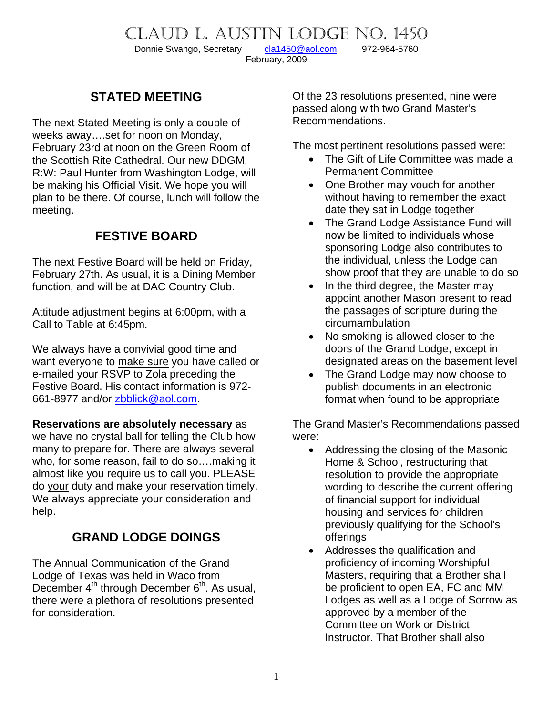# CLAUD L. AUSTIN LODGE NO. 1450<br>Donnie Swango, Secretary cla1450@aol.com 972-964-5760

Donnie Swango, Secretary [cla1450@aol.com](mailto:cla1450@aol.com) 972-964-5760 February, 2009

## **STATED MEETING**

The next Stated Meeting is only a couple of weeks away….set for noon on Monday, February 23rd at noon on the Green Room of the Scottish Rite Cathedral. Our new DDGM, R:W: Paul Hunter from Washington Lodge, will be making his Official Visit. We hope you will plan to be there. Of course, lunch will follow the meeting.

### **FESTIVE BOARD**

The next Festive Board will be held on Friday, February 27th. As usual, it is a Dining Member function, and will be at DAC Country Club.

Attitude adjustment begins at 6:00pm, with a Call to Table at 6:45pm.

We always have a convivial good time and want everyone to make sure you have called or e-mailed your RSVP to Zola preceding the Festive Board. His contact information is 972- 661-8977 and/or [zbblick@aol.com](mailto:zbblick@aol.com).

**Reservations are absolutely necessary** as we have no crystal ball for telling the Club how many to prepare for. There are always several who, for some reason, fail to do so….making it almost like you require us to call you. PLEASE do your duty and make your reservation timely. We always appreciate your consideration and help.

# **GRAND LODGE DOINGS**

The Annual Communication of the Grand Lodge of Texas was held in Waco from December  $4^{th}$  through December  $6^{th}$ . As usual, there were a plethora of resolutions presented for consideration.

Of the 23 resolutions presented, nine were passed along with two Grand Master's Recommendations.

The most pertinent resolutions passed were:

- The Gift of Life Committee was made a Permanent Committee
- One Brother may vouch for another without having to remember the exact date they sat in Lodge together
- The Grand Lodge Assistance Fund will now be limited to individuals whose sponsoring Lodge also contributes to the individual, unless the Lodge can show proof that they are unable to do so
- In the third degree, the Master may appoint another Mason present to read the passages of scripture during the circumambulation
- No smoking is allowed closer to the doors of the Grand Lodge, except in designated areas on the basement level
- The Grand Lodge may now choose to publish documents in an electronic format when found to be appropriate

The Grand Master's Recommendations passed were:

- Addressing the closing of the Masonic Home & School, restructuring that resolution to provide the appropriate wording to describe the current offering of financial support for individual housing and services for children previously qualifying for the School's offerings
- Addresses the qualification and proficiency of incoming Worshipful Masters, requiring that a Brother shall be proficient to open EA, FC and MM Lodges as well as a Lodge of Sorrow as approved by a member of the Committee on Work or District Instructor. That Brother shall also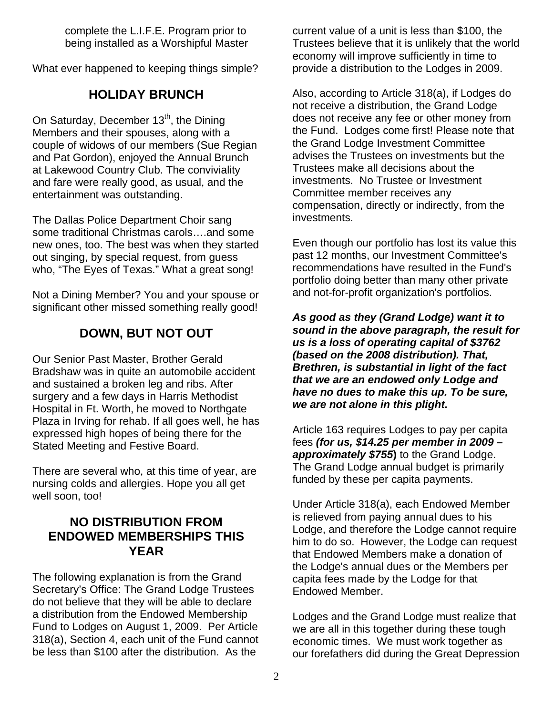complete the L.I.F.E. Program prior to being installed as a Worshipful Master

What ever happened to keeping things simple?

### **HOLIDAY BRUNCH**

On Saturday, December 13<sup>th</sup>, the Dining Members and their spouses, along with a couple of widows of our members (Sue Regian and Pat Gordon), enjoyed the Annual Brunch at Lakewood Country Club. The conviviality and fare were really good, as usual, and the entertainment was outstanding.

The Dallas Police Department Choir sang some traditional Christmas carols….and some new ones, too. The best was when they started out singing, by special request, from guess who, "The Eyes of Texas." What a great song!

Not a Dining Member? You and your spouse or significant other missed something really good!

## **DOWN, BUT NOT OUT**

Our Senior Past Master, Brother Gerald Bradshaw was in quite an automobile accident and sustained a broken leg and ribs. After surgery and a few days in Harris Methodist Hospital in Ft. Worth, he moved to Northgate Plaza in Irving for rehab. If all goes well, he has expressed high hopes of being there for the Stated Meeting and Festive Board.

There are several who, at this time of year, are nursing colds and allergies. Hope you all get well soon, too!

#### **NO DISTRIBUTION FROM ENDOWED MEMBERSHIPS THIS YEAR**

The following explanation is from the Grand Secretary's Office: The Grand Lodge Trustees do not believe that they will be able to declare a distribution from the Endowed Membership Fund to Lodges on August 1, 2009. Per Article 318(a), Section 4, each unit of the Fund cannot be less than \$100 after the distribution. As the

current value of a unit is less than \$100, the Trustees believe that it is unlikely that the world economy will improve sufficiently in time to provide a distribution to the Lodges in 2009.

Also, according to Article 318(a), if Lodges do not receive a distribution, the Grand Lodge does not receive any fee or other money from the Fund. Lodges come first! Please note that the Grand Lodge Investment Committee advises the Trustees on investments but the Trustees make all decisions about the investments. No Trustee or Investment Committee member receives any compensation, directly or indirectly, from the investments.

Even though our portfolio has lost its value this past 12 months, our Investment Committee's recommendations have resulted in the Fund's portfolio doing better than many other private and not-for-profit organization's portfolios.

*As good as they (Grand Lodge) want it to sound in the above paragraph, the result for us is a loss of operating capital of \$3762 (based on the 2008 distribution). That, Brethren, is substantial in light of the fact that we are an endowed only Lodge and have no dues to make this up. To be sure, we are not alone in this plight.* 

Article 163 requires Lodges to pay per capita fees *(for us, \$14.25 per member in 2009 – approximately \$755***)** to the Grand Lodge. The Grand Lodge annual budget is primarily funded by these per capita payments.

Under Article 318(a), each Endowed Member is relieved from paying annual dues to his Lodge, and therefore the Lodge cannot require him to do so. However, the Lodge can request that Endowed Members make a donation of the Lodge's annual dues or the Members per capita fees made by the Lodge for that Endowed Member.

Lodges and the Grand Lodge must realize that we are all in this together during these tough economic times. We must work together as our forefathers did during the Great Depression